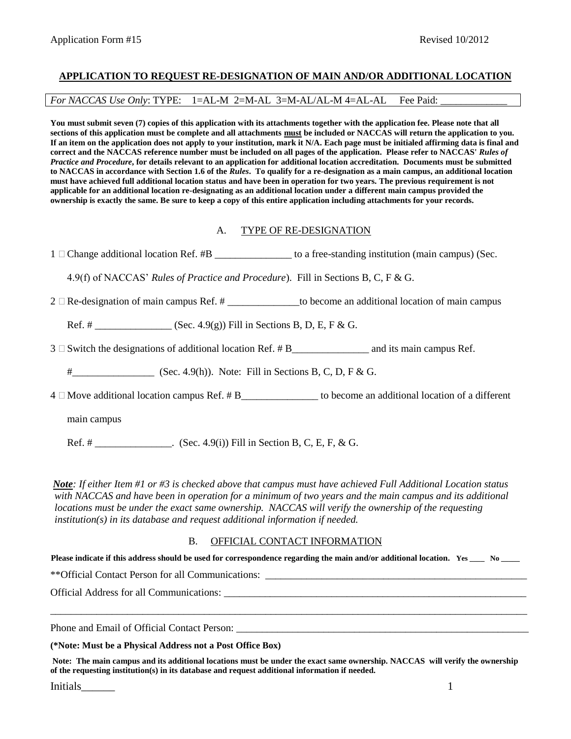### **APPLICATION TO REQUEST RE-DESIGNATION OF MAIN AND/OR ADDITIONAL LOCATION**

*For NACCAS Use Only*: TYPE: 1=AL-M 2=M-AL 3=M-AL/AL-M 4=AL-AL Fee Paid:

**You must submit seven (7) copies of this application with its attachments together with the application fee. Please note that all sections of this application must be complete and all attachments must be included or NACCAS will return the application to you. If an item on the application does not apply to your institution, mark it N/A. Each page must be initialed affirming data is final and correct and the NACCAS reference number must be included on all pages of the application. Please refer to NACCAS'** *Rules of Practice and Procedure***, for details relevant to an application for additional location accreditation. Documents must be submitted to NACCAS in accordance with Section 1.6 of the** *Rules***. To qualify for a re-designation as a main campus, an additional location must have achieved full additional location status and have been in operation for two years. The previous requirement is not applicable for an additional location re-designating as an additional location under a different main campus provided the ownership is exactly the same. Be sure to keep a copy of this entire application including attachments for your records.**

#### A. TYPE OF RE-DESIGNATION

1 Change additional location Ref. #B \_\_\_\_\_\_\_\_\_\_\_\_\_\_\_\_ to a free-standing institution (main campus) (Sec.

4.9(f) of NACCAS' *Rules of Practice and Procedure*). Fill in Sections B, C, F & G.

 $2 \Box$  Re-designation of main campus Ref. # \_\_\_\_\_\_\_\_\_\_\_\_\_\_\_\_to become an additional location of main campus

Ref. #  $(Sec. 4.9(g))$  Fill in Sections B, D, E, F & G.

 $3 \square$  Switch the designations of additional location Ref. # B\_\_\_\_\_\_\_\_\_\_\_\_\_\_\_\_\_\_\_\_\_ and its main campus Ref.

#  $(Sec. 4.9(h))$ . Note: Fill in Sections B, C, D, F & G.

 $4 \Box$  Move additional location campus Ref.  $\# B$ \_\_\_\_\_\_\_\_\_\_\_\_\_\_\_\_\_\_\_\_ to become an additional location of a different

main campus

Ref. # \_\_\_\_\_\_\_\_\_\_\_\_\_. (Sec. 4.9(i)) Fill in Section B, C, E, F, & G.

*Note: If either Item #1 or #3 is checked above that campus must have achieved Full Additional Location status with NACCAS and have been in operation for a minimum of two years and the main campus and its additional locations must be under the exact same ownership. NACCAS will verify the ownership of the requesting institution(s) in its database and request additional information if needed.* 

#### B. OFFICIAL CONTACT INFORMATION

**Please indicate if this address should be used for correspondence regarding the main and/or additional location. Yes \_\_\_\_ No \_\_\_\_\_**

\*\*Official Contact Person for all Communications: \_\_\_\_\_\_\_\_\_\_\_\_\_\_\_\_\_\_\_\_\_\_\_\_\_\_\_\_\_\_

Official Address for all Communications: \_\_\_\_\_\_\_\_\_\_\_\_\_\_\_\_\_\_\_\_\_\_\_\_\_\_\_\_\_\_\_\_\_\_\_\_\_\_\_\_\_\_\_\_\_\_\_\_\_\_\_\_\_\_\_\_\_\_\_

Phone and Email of Official Contact Person:

**(\*Note: Must be a Physical Address not a Post Office Box)**

**Note: The main campus and its additional locations must be under the exact same ownership. NACCAS will verify the ownership of the requesting institution(s) in its database and request additional information if needed.**

\_\_\_\_\_\_\_\_\_\_\_\_\_\_\_\_\_\_\_\_\_\_\_\_\_\_\_\_\_\_\_\_\_\_\_\_\_\_\_\_\_\_\_\_\_\_\_\_\_\_\_\_\_\_\_\_\_\_\_\_\_\_\_\_\_\_\_\_\_\_\_\_\_\_\_\_\_\_\_\_\_\_\_\_\_\_\_\_\_\_\_\_\_

**Initials\_\_\_\_\_\_\_** 1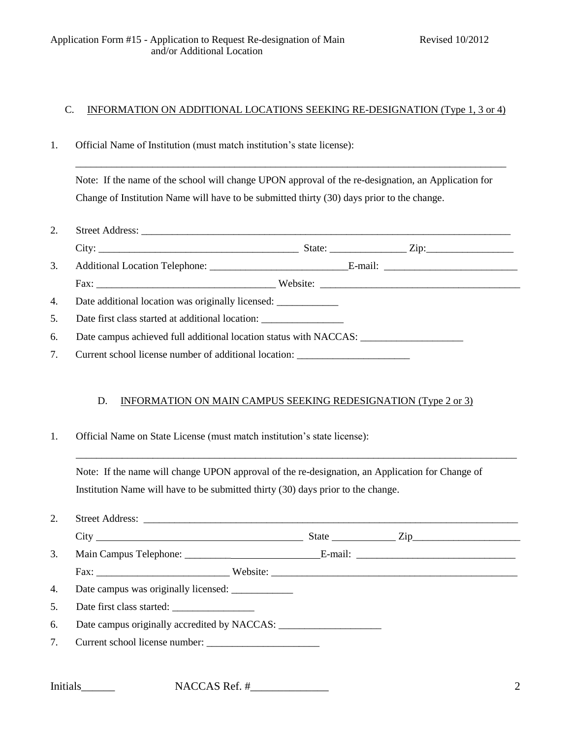## C. INFORMATION ON ADDITIONAL LOCATIONS SEEKING RE-DESIGNATION (Type 1, 3 or 4)

1. Official Name of Institution (must match institution's state license):

Note: If the name of the school will change UPON approval of the re-designation, an Application for Change of Institution Name will have to be submitted thirty (30) days prior to the change.

\_\_\_\_\_\_\_\_\_\_\_\_\_\_\_\_\_\_\_\_\_\_\_\_\_\_\_\_\_\_\_\_\_\_\_\_\_\_\_\_\_\_\_\_\_\_\_\_\_\_\_\_\_\_\_\_\_\_\_\_\_\_\_\_\_\_\_\_\_\_\_\_\_\_\_\_\_\_\_\_\_\_\_\_

- 2. Street Address: \_\_\_\_\_\_\_\_\_\_\_\_\_\_\_\_\_\_\_\_\_\_\_\_\_\_\_\_\_\_\_\_\_\_\_\_\_\_\_\_\_\_\_\_\_\_\_\_\_\_\_\_\_\_\_\_\_\_\_\_\_\_\_\_\_\_\_\_\_\_\_\_ City: \_\_\_\_\_\_\_\_\_\_\_\_\_\_\_\_\_\_\_\_\_\_\_\_\_\_\_\_\_\_\_\_\_\_\_\_\_\_\_ State: \_\_\_\_\_\_\_\_\_\_\_\_\_\_\_ Zip:\_\_\_\_\_\_\_\_\_\_\_\_\_\_\_\_\_
- 3. Additional Location Telephone: \_\_\_\_\_\_\_\_\_\_\_\_\_\_\_\_\_\_\_\_\_\_\_\_\_\_\_E-mail: \_\_\_\_\_\_\_\_\_\_\_\_\_\_\_\_\_\_\_\_\_\_\_\_\_\_ Fax: \_\_\_\_\_\_\_\_\_\_\_\_\_\_\_\_\_\_\_\_\_\_\_\_\_\_\_\_\_\_\_\_\_\_\_ Website: \_\_\_\_\_\_\_\_\_\_\_\_\_\_\_\_\_\_\_\_\_\_\_\_\_\_\_\_\_\_\_\_\_\_\_\_\_\_\_
- 4. Date additional location was originally licensed: \_\_\_\_\_\_\_\_\_\_\_\_\_\_\_\_\_\_\_\_\_\_\_\_\_\_\_
- 5. Date first class started at additional location: \_\_\_\_\_\_\_\_\_\_\_\_\_\_\_\_
- 6. Date campus achieved full additional location status with NACCAS:
- 7. Current school license number of additional location: \_\_\_\_\_\_\_\_\_\_\_\_\_\_\_\_\_\_\_\_\_\_\_

#### D. INFORMATION ON MAIN CAMPUS SEEKING REDESIGNATION (Type 2 or 3)

\_\_\_\_\_\_\_\_\_\_\_\_\_\_\_\_\_\_\_\_\_\_\_\_\_\_\_\_\_\_\_\_\_\_\_\_\_\_\_\_\_\_\_\_\_\_\_\_\_\_\_\_\_\_\_\_\_\_\_\_\_\_\_\_\_\_\_\_\_\_\_\_\_\_\_\_\_\_\_\_\_\_\_\_\_\_

1. Official Name on State License (must match institution's state license):

Note: If the name will change UPON approval of the re-designation, an Application for Change of Institution Name will have to be submitted thirty (30) days prior to the change.

| 2. |                           |                                                  |
|----|---------------------------|--------------------------------------------------|
|    |                           | State <u>Cip_Cip_Cip_Cip_Cip_Cip_Cip_Cip_Cip</u> |
| 3. |                           |                                                  |
|    |                           |                                                  |
|    |                           |                                                  |
| 5. | Date first class started: |                                                  |
| 6. |                           |                                                  |
| 7. |                           |                                                  |
|    |                           |                                                  |

Initials\_\_\_\_\_\_ NACCAS Ref. #\_\_\_\_\_\_\_\_\_\_\_\_\_\_ 2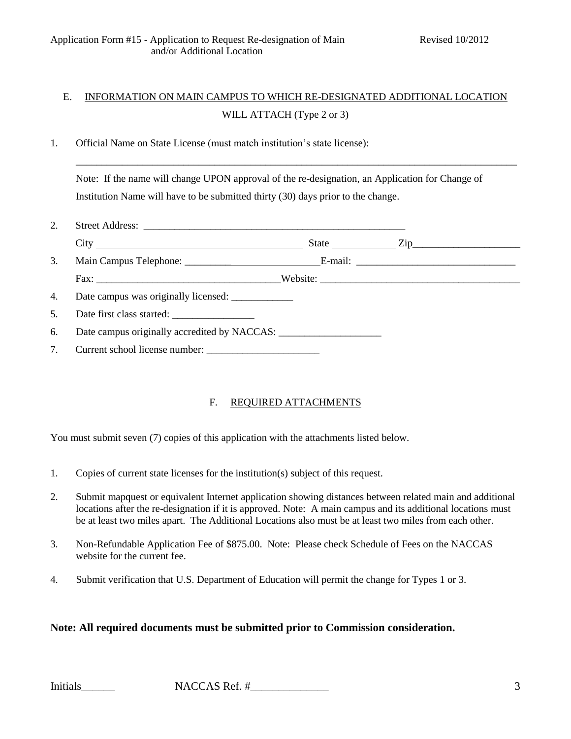# E. INFORMATION ON MAIN CAMPUS TO WHICH RE-DESIGNATED ADDITIONAL LOCATION WILL ATTACH (Type 2 or 3)

1. Official Name on State License (must match institution's state license):

Note: If the name will change UPON approval of the re-designation, an Application for Change of Institution Name will have to be submitted thirty (30) days prior to the change.

\_\_\_\_\_\_\_\_\_\_\_\_\_\_\_\_\_\_\_\_\_\_\_\_\_\_\_\_\_\_\_\_\_\_\_\_\_\_\_\_\_\_\_\_\_\_\_\_\_\_\_\_\_\_\_\_\_\_\_\_\_\_\_\_\_\_\_\_\_\_\_\_\_\_\_\_\_\_\_\_\_\_\_\_\_\_

| 2. |                                              |  |  |
|----|----------------------------------------------|--|--|
|    |                                              |  |  |
| 3. |                                              |  |  |
|    |                                              |  |  |
| 4. |                                              |  |  |
| 5. |                                              |  |  |
| 6. | Date campus originally accredited by NACCAS: |  |  |
| 7. | Current school license number:               |  |  |

# F. REQUIRED ATTACHMENTS

You must submit seven (7) copies of this application with the attachments listed below.

- 1. Copies of current state licenses for the institution(s) subject of this request.
- 2. Submit mapquest or equivalent Internet application showing distances between related main and additional locations after the re-designation if it is approved. Note: A main campus and its additional locations must be at least two miles apart. The Additional Locations also must be at least two miles from each other.
- 3. Non-Refundable Application Fee of \$875.00. Note: Please check Schedule of Fees on the NACCAS website for the current fee.
- 4. Submit verification that U.S. Department of Education will permit the change for Types 1 or 3.

# **Note: All required documents must be submitted prior to Commission consideration.**

Initials\_\_\_\_\_\_ NACCAS Ref. #\_\_\_\_\_\_\_\_\_\_\_\_\_\_ 3